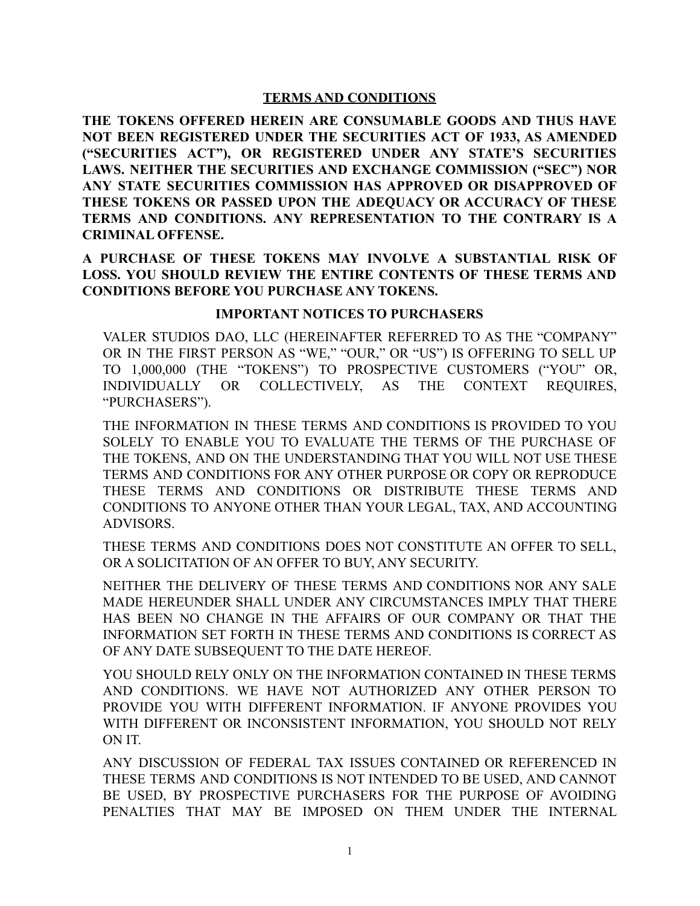# **TERMS AND CONDITIONS**

**THE TOKENS OFFERED HEREIN ARE CONSUMABLE GOODS AND THUS HAVE NOT BEEN REGISTERED UNDER THE SECURITIES ACT OF 1933, AS AMENDED ("SECURITIES ACT"), OR REGISTERED UNDER ANY STATE'S SECURITIES LAWS. NEITHER THE SECURITIES AND EXCHANGE COMMISSION ("SEC") NOR ANY STATE SECURITIES COMMISSION HAS APPROVED OR DISAPPROVED OF THESE TOKENS OR PASSED UPON THE ADEQUACY OR ACCURACY OF THESE TERMS AND CONDITIONS. ANY REPRESENTATION TO THE CONTRARY IS A CRIMINAL OFFENSE.**

**A PURCHASE OF THESE TOKENS MAY INVOLVE A SUBSTANTIAL RISK OF LOSS. YOU SHOULD REVIEW THE ENTIRE CONTENTS OF THESE TERMS AND CONDITIONS BEFORE YOU PURCHASE ANY TOKENS.**

### **IMPORTANT NOTICES TO PURCHASERS**

VALER STUDIOS DAO, LLC (HEREINAFTER REFERRED TO AS THE "COMPANY" OR IN THE FIRST PERSON AS "WE," "OUR," OR "US") IS OFFERING TO SELL UP TO 1,000,000 (THE "TOKENS") TO PROSPECTIVE CUSTOMERS ("YOU" OR, INDIVIDUALLY OR COLLECTIVELY, AS THE CONTEXT REQUIRES, "PURCHASERS").

THE INFORMATION IN THESE TERMS AND CONDITIONS IS PROVIDED TO YOU SOLELY TO ENABLE YOU TO EVALUATE THE TERMS OF THE PURCHASE OF THE TOKENS, AND ON THE UNDERSTANDING THAT YOU WILL NOT USE THESE TERMS AND CONDITIONS FOR ANY OTHER PURPOSE OR COPY OR REPRODUCE THESE TERMS AND CONDITIONS OR DISTRIBUTE THESE TERMS AND CONDITIONS TO ANYONE OTHER THAN YOUR LEGAL, TAX, AND ACCOUNTING ADVISORS.

THESE TERMS AND CONDITIONS DOES NOT CONSTITUTE AN OFFER TO SELL, OR A SOLICITATION OF AN OFFER TO BUY, ANY SECURITY.

NEITHER THE DELIVERY OF THESE TERMS AND CONDITIONS NOR ANY SALE MADE HEREUNDER SHALL UNDER ANY CIRCUMSTANCES IMPLY THAT THERE HAS BEEN NO CHANGE IN THE AFFAIRS OF OUR COMPANY OR THAT THE INFORMATION SET FORTH IN THESE TERMS AND CONDITIONS IS CORRECT AS OF ANY DATE SUBSEQUENT TO THE DATE HEREOF.

YOU SHOULD RELY ONLY ON THE INFORMATION CONTAINED IN THESE TERMS AND CONDITIONS. WE HAVE NOT AUTHORIZED ANY OTHER PERSON TO PROVIDE YOU WITH DIFFERENT INFORMATION. IF ANYONE PROVIDES YOU WITH DIFFERENT OR INCONSISTENT INFORMATION, YOU SHOULD NOT RELY ON IT.

ANY DISCUSSION OF FEDERAL TAX ISSUES CONTAINED OR REFERENCED IN THESE TERMS AND CONDITIONS IS NOT INTENDED TO BE USED, AND CANNOT BE USED, BY PROSPECTIVE PURCHASERS FOR THE PURPOSE OF AVOIDING PENALTIES THAT MAY BE IMPOSED ON THEM UNDER THE INTERNAL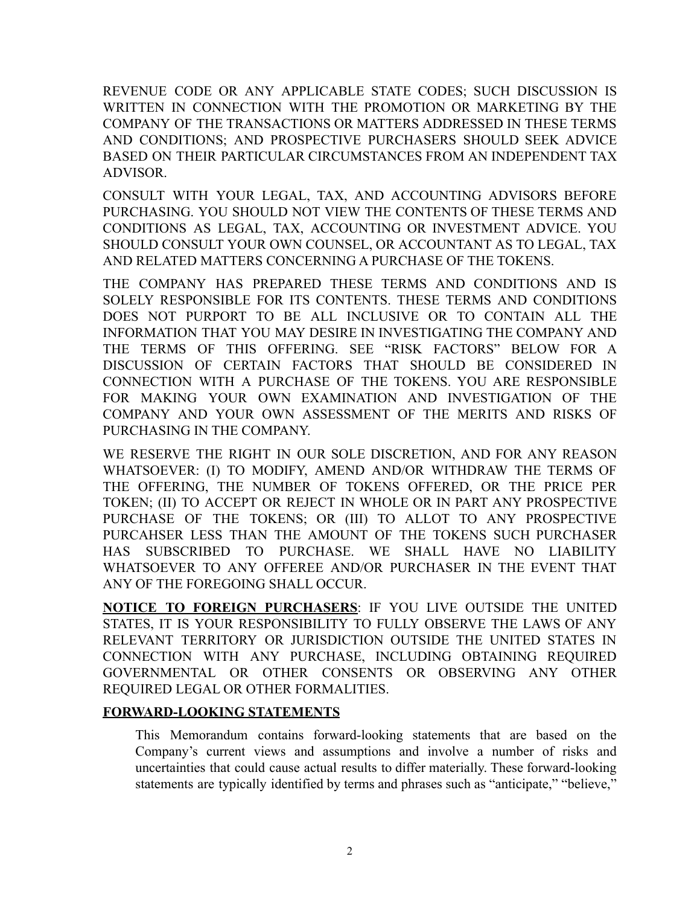REVENUE CODE OR ANY APPLICABLE STATE CODES; SUCH DISCUSSION IS WRITTEN IN CONNECTION WITH THE PROMOTION OR MARKETING BY THE COMPANY OF THE TRANSACTIONS OR MATTERS ADDRESSED IN THESE TERMS AND CONDITIONS; AND PROSPECTIVE PURCHASERS SHOULD SEEK ADVICE BASED ON THEIR PARTICULAR CIRCUMSTANCES FROM AN INDEPENDENT TAX ADVISOR.

CONSULT WITH YOUR LEGAL, TAX, AND ACCOUNTING ADVISORS BEFORE PURCHASING. YOU SHOULD NOT VIEW THE CONTENTS OF THESE TERMS AND CONDITIONS AS LEGAL, TAX, ACCOUNTING OR INVESTMENT ADVICE. YOU SHOULD CONSULT YOUR OWN COUNSEL, OR ACCOUNTANT AS TO LEGAL, TAX AND RELATED MATTERS CONCERNING A PURCHASE OF THE TOKENS.

THE COMPANY HAS PREPARED THESE TERMS AND CONDITIONS AND IS SOLELY RESPONSIBLE FOR ITS CONTENTS. THESE TERMS AND CONDITIONS DOES NOT PURPORT TO BE ALL INCLUSIVE OR TO CONTAIN ALL THE INFORMATION THAT YOU MAY DESIRE IN INVESTIGATING THE COMPANY AND THE TERMS OF THIS OFFERING. SEE "RISK FACTORS" BELOW FOR A DISCUSSION OF CERTAIN FACTORS THAT SHOULD BE CONSIDERED IN CONNECTION WITH A PURCHASE OF THE TOKENS. YOU ARE RESPONSIBLE FOR MAKING YOUR OWN EXAMINATION AND INVESTIGATION OF THE COMPANY AND YOUR OWN ASSESSMENT OF THE MERITS AND RISKS OF PURCHASING IN THE COMPANY.

WE RESERVE THE RIGHT IN OUR SOLE DISCRETION, AND FOR ANY REASON WHATSOEVER: (I) TO MODIFY, AMEND AND/OR WITHDRAW THE TERMS OF THE OFFERING, THE NUMBER OF TOKENS OFFERED, OR THE PRICE PER TOKEN; (II) TO ACCEPT OR REJECT IN WHOLE OR IN PART ANY PROSPECTIVE PURCHASE OF THE TOKENS; OR (III) TO ALLOT TO ANY PROSPECTIVE PURCAHSER LESS THAN THE AMOUNT OF THE TOKENS SUCH PURCHASER HAS SUBSCRIBED TO PURCHASE. WE SHALL HAVE NO LIABILITY WHATSOEVER TO ANY OFFEREE AND/OR PURCHASER IN THE EVENT THAT ANY OF THE FOREGOING SHALL OCCUR.

**NOTICE TO FOREIGN PURCHASERS**: IF YOU LIVE OUTSIDE THE UNITED STATES, IT IS YOUR RESPONSIBILITY TO FULLY OBSERVE THE LAWS OF ANY RELEVANT TERRITORY OR JURISDICTION OUTSIDE THE UNITED STATES IN CONNECTION WITH ANY PURCHASE, INCLUDING OBTAINING REQUIRED GOVERNMENTAL OR OTHER CONSENTS OR OBSERVING ANY OTHER REQUIRED LEGAL OR OTHER FORMALITIES.

### **FORWARD-LOOKING STATEMENTS**

This Memorandum contains forward-looking statements that are based on the Company's current views and assumptions and involve a number of risks and uncertainties that could cause actual results to differ materially. These forward-looking statements are typically identified by terms and phrases such as "anticipate," "believe,"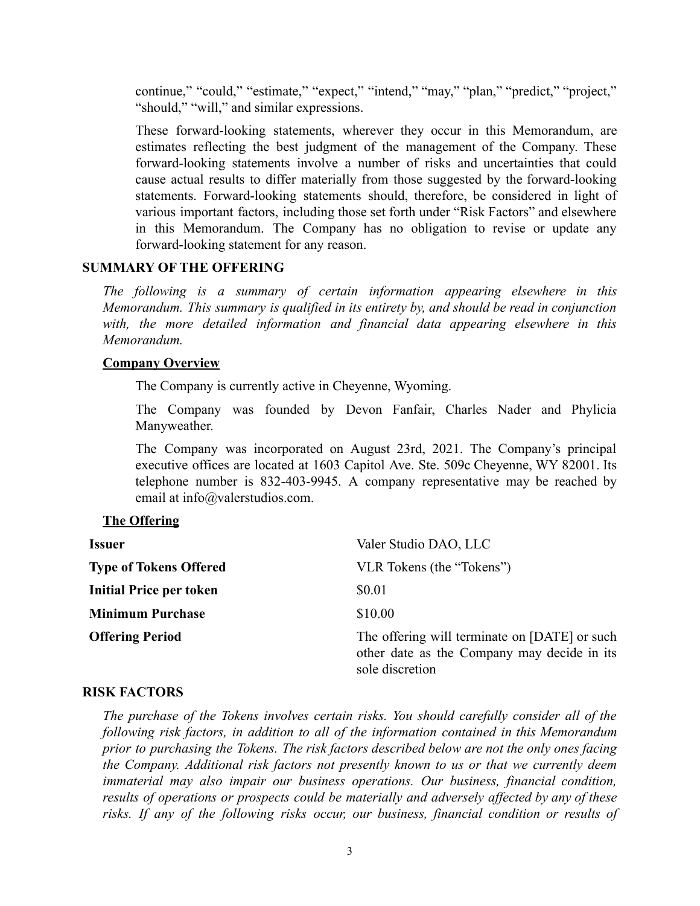continue," "could," "estimate," "expect," "intend," "may," "plan," "predict," "project," "should," "will," and similar expressions.

These forward-looking statements, wherever they occur in this Memorandum, are estimates reflecting the best judgment of the management of the Company. These forward-looking statements involve a number of risks and uncertainties that could cause actual results to differ materially from those suggested by the forward-looking statements. Forward-looking statements should, therefore, be considered in light of various important factors, including those set forth under "Risk Factors" and elsewhere in this Memorandum. The Company has no obligation to revise or update any forward-looking statement for any reason.

#### **SUMMARY OF THE OFFERING**

*The following is a summary of certain information appearing elsewhere in this Memorandum. This summary is qualified in its entirety by, and should be read in conjunction with, the more detailed information and financial data appearing elsewhere in this Memorandum.*

#### **Company Overview**

The Company is currently active in Cheyenne, Wyoming.

The Company was founded by Devon Fanfair, Charles Nader and Phylicia Manyweather.

The Company was incorporated on August 23rd, 2021. The Company's principal executive offices are located at 1603 Capitol Ave. Ste. 509c Cheyenne, WY 82001. Its telephone number is 832-403-9945. A company representative may be reached by email at info@valerstudios.com.

### **The Offering**

| <b>Issuer</b>                  | Valer Studio DAO, LLC                                                                                           |
|--------------------------------|-----------------------------------------------------------------------------------------------------------------|
| <b>Type of Tokens Offered</b>  | VLR Tokens (the "Tokens")                                                                                       |
| <b>Initial Price per token</b> | \$0.01                                                                                                          |
| <b>Minimum Purchase</b>        | \$10.00                                                                                                         |
| <b>Offering Period</b>         | The offering will terminate on [DATE] or such<br>other date as the Company may decide in its<br>sole discretion |

### **RISK FACTORS**

*The purchase of the Tokens involves certain risks. You should carefully consider all of the following risk factors, in addition to all of the information contained in this Memorandum prior to purchasing the Tokens. The risk factors described below are not the only ones facing the Company. Additional risk factors not presently known to us or that we currently deem immaterial may also impair our business operations. Our business, financial condition, results of operations or prospects could be materially and adversely affected by any of these risks. If any of the following risks occur, our business, financial condition or results of*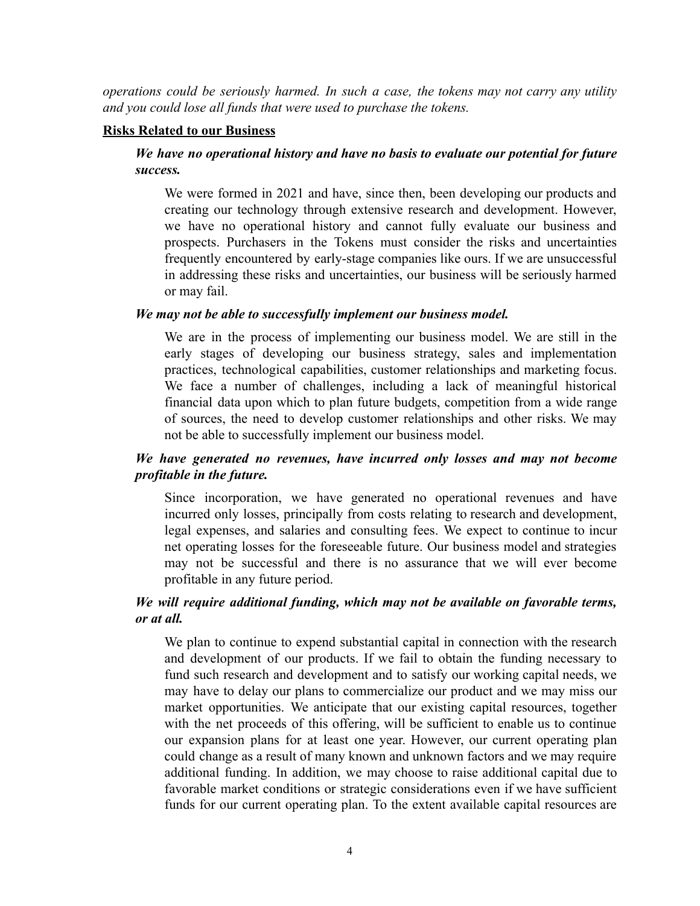*operations could be seriously harmed. In such a case, the tokens may not carry any utility and you could lose all funds that were used to purchase the tokens.*

#### **Risks Related to our Business**

# *We have no operational history and have no basis to evaluate our potential for future success.*

We were formed in 2021 and have, since then, been developing our products and creating our technology through extensive research and development. However, we have no operational history and cannot fully evaluate our business and prospects. Purchasers in the Tokens must consider the risks and uncertainties frequently encountered by early-stage companies like ours. If we are unsuccessful in addressing these risks and uncertainties, our business will be seriously harmed or may fail.

### *We may not be able to successfully implement our business model.*

We are in the process of implementing our business model. We are still in the early stages of developing our business strategy, sales and implementation practices, technological capabilities, customer relationships and marketing focus. We face a number of challenges, including a lack of meaningful historical financial data upon which to plan future budgets, competition from a wide range of sources, the need to develop customer relationships and other risks. We may not be able to successfully implement our business model.

# *We have generated no revenues, have incurred only losses and may not become profitable in the future.*

Since incorporation, we have generated no operational revenues and have incurred only losses, principally from costs relating to research and development, legal expenses, and salaries and consulting fees. We expect to continue to incur net operating losses for the foreseeable future. Our business model and strategies may not be successful and there is no assurance that we will ever become profitable in any future period.

# *We will require additional funding, which may not be available on favorable terms, or at all.*

We plan to continue to expend substantial capital in connection with the research and development of our products. If we fail to obtain the funding necessary to fund such research and development and to satisfy our working capital needs, we may have to delay our plans to commercialize our product and we may miss our market opportunities. We anticipate that our existing capital resources, together with the net proceeds of this offering, will be sufficient to enable us to continue our expansion plans for at least one year. However, our current operating plan could change as a result of many known and unknown factors and we may require additional funding. In addition, we may choose to raise additional capital due to favorable market conditions or strategic considerations even if we have sufficient funds for our current operating plan. To the extent available capital resources are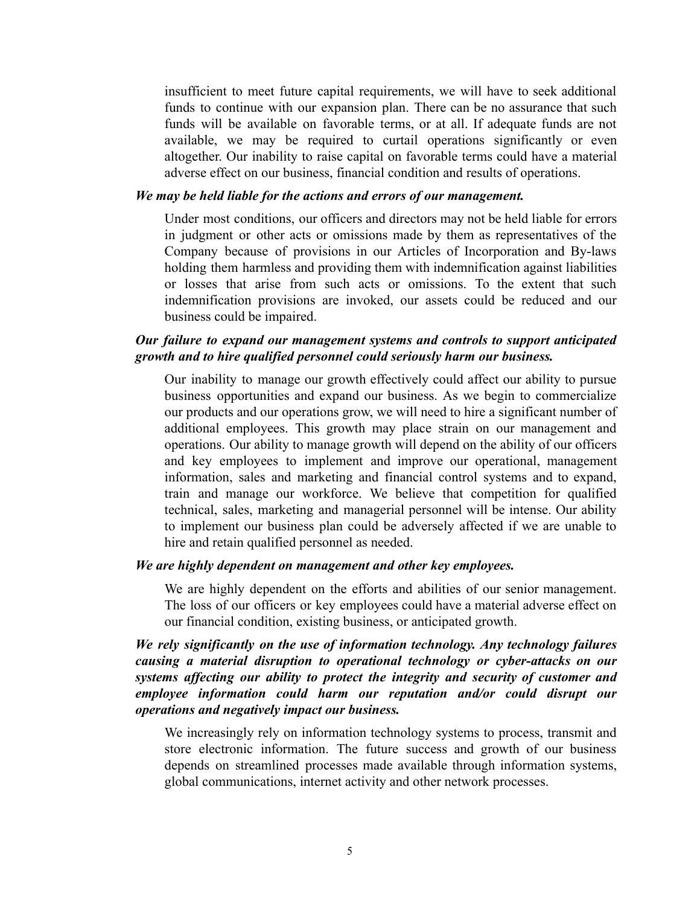insufficient to meet future capital requirements, we will have to seek additional funds to continue with our expansion plan. There can be no assurance that such funds will be available on favorable terms, or at all. If adequate funds are not available, we may be required to curtail operations significantly or even altogether. Our inability to raise capital on favorable terms could have a material adverse effect on our business, financial condition and results of operations.

#### *We may be held liable for the actions and errors of our management.*

Under most conditions, our officers and directors may not be held liable for errors in judgment or other acts or omissions made by them as representatives of the Company because of provisions in our Articles of Incorporation and By-laws holding them harmless and providing them with indemnification against liabilities or losses that arise from such acts or omissions. To the extent that such indemnification provisions are invoked, our assets could be reduced and our business could be impaired.

### *Our failure to expand our management systems and controls to support anticipated growth and to hire qualified personnel could seriously harm our business.*

Our inability to manage our growth effectively could affect our ability to pursue business opportunities and expand our business. As we begin to commercialize our products and our operations grow, we will need to hire a significant number of additional employees. This growth may place strain on our management and operations. Our ability to manage growth will depend on the ability of our officers and key employees to implement and improve our operational, management information, sales and marketing and financial control systems and to expand, train and manage our workforce. We believe that competition for qualified technical, sales, marketing and managerial personnel will be intense. Our ability to implement our business plan could be adversely affected if we are unable to hire and retain qualified personnel as needed.

#### *We are highly dependent on management and other key employees.*

We are highly dependent on the efforts and abilities of our senior management. The loss of our officers or key employees could have a material adverse effect on our financial condition, existing business, or anticipated growth.

*We rely significantly on the use of information technology. Any technology failures causing a material disruption to operational technology or cyber-attacks on our systems affecting our ability to protect the integrity and security of customer and employee information could harm our reputation and/or could disrupt our operations and negatively impact our business.*

We increasingly rely on information technology systems to process, transmit and store electronic information. The future success and growth of our business depends on streamlined processes made available through information systems, global communications, internet activity and other network processes.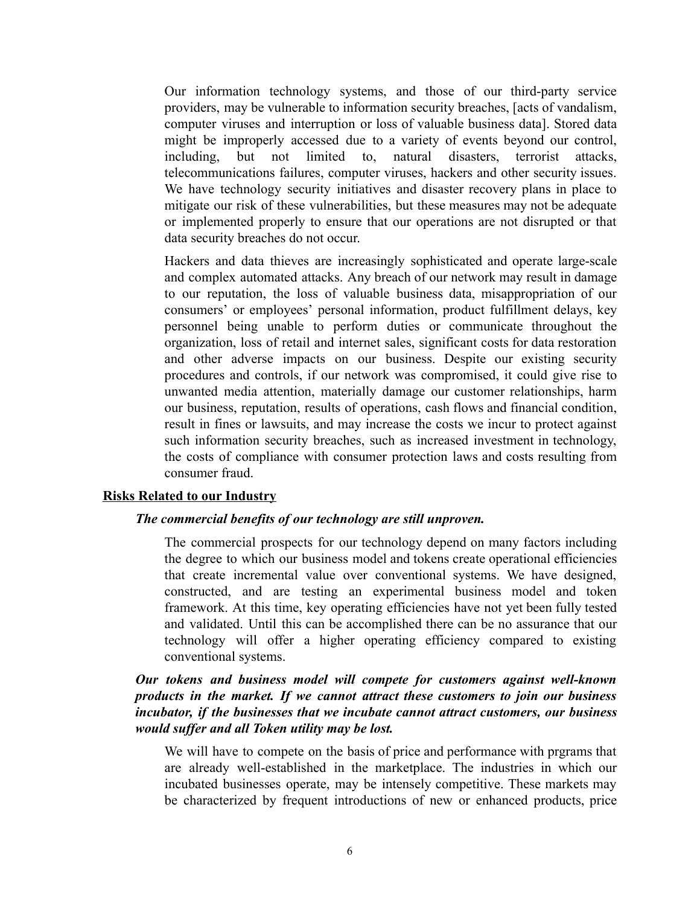Our information technology systems, and those of our third-party service providers, may be vulnerable to information security breaches, [acts of vandalism, computer viruses and interruption or loss of valuable business data]. Stored data might be improperly accessed due to a variety of events beyond our control, including, but not limited to, natural disasters, terrorist attacks, telecommunications failures, computer viruses, hackers and other security issues. We have technology security initiatives and disaster recovery plans in place to mitigate our risk of these vulnerabilities, but these measures may not be adequate or implemented properly to ensure that our operations are not disrupted or that data security breaches do not occur.

Hackers and data thieves are increasingly sophisticated and operate large-scale and complex automated attacks. Any breach of our network may result in damage to our reputation, the loss of valuable business data, misappropriation of our consumers' or employees' personal information, product fulfillment delays, key personnel being unable to perform duties or communicate throughout the organization, loss of retail and internet sales, significant costs for data restoration and other adverse impacts on our business. Despite our existing security procedures and controls, if our network was compromised, it could give rise to unwanted media attention, materially damage our customer relationships, harm our business, reputation, results of operations, cash flows and financial condition, result in fines or lawsuits, and may increase the costs we incur to protect against such information security breaches, such as increased investment in technology, the costs of compliance with consumer protection laws and costs resulting from consumer fraud.

#### **Risks Related to our Industry**

#### *The commercial benefits of our technology are still unproven.*

The commercial prospects for our technology depend on many factors including the degree to which our business model and tokens create operational efficiencies that create incremental value over conventional systems. We have designed, constructed, and are testing an experimental business model and token framework. At this time, key operating efficiencies have not yet been fully tested and validated. Until this can be accomplished there can be no assurance that our technology will offer a higher operating efficiency compared to existing conventional systems.

# *Our tokens and business model will compete for customers against well-known products in the market. If we cannot attract these customers to join our business incubator, if the businesses that we incubate cannot attract customers, our business would suffer and all Token utility may be lost.*

We will have to compete on the basis of price and performance with prgrams that are already well-established in the marketplace. The industries in which our incubated businesses operate, may be intensely competitive. These markets may be characterized by frequent introductions of new or enhanced products, price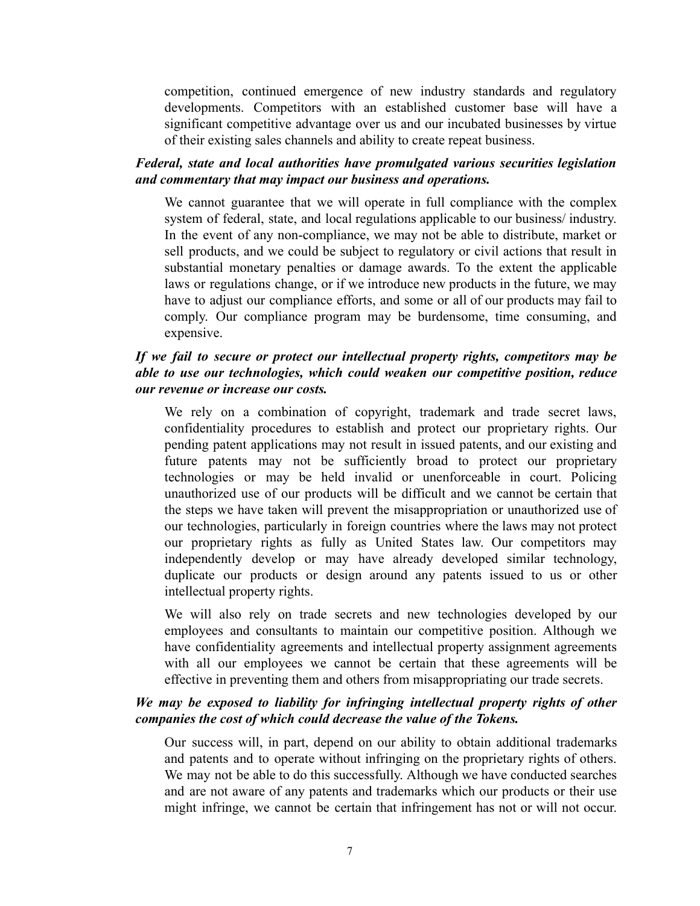competition, continued emergence of new industry standards and regulatory developments. Competitors with an established customer base will have a significant competitive advantage over us and our incubated businesses by virtue of their existing sales channels and ability to create repeat business.

# *Federal, state and local authorities have promulgated various securities legislation and commentary that may impact our business and operations.*

We cannot guarantee that we will operate in full compliance with the complex system of federal, state, and local regulations applicable to our business/ industry. In the event of any non-compliance, we may not be able to distribute, market or sell products, and we could be subject to regulatory or civil actions that result in substantial monetary penalties or damage awards. To the extent the applicable laws or regulations change, or if we introduce new products in the future, we may have to adjust our compliance efforts, and some or all of our products may fail to comply. Our compliance program may be burdensome, time consuming, and expensive.

# *If we fail to secure or protect our intellectual property rights, competitors may be able to use our technologies, which could weaken our competitive position, reduce our revenue or increase our costs.*

We rely on a combination of copyright, trademark and trade secret laws, confidentiality procedures to establish and protect our proprietary rights. Our pending patent applications may not result in issued patents, and our existing and future patents may not be sufficiently broad to protect our proprietary technologies or may be held invalid or unenforceable in court. Policing unauthorized use of our products will be difficult and we cannot be certain that the steps we have taken will prevent the misappropriation or unauthorized use of our technologies, particularly in foreign countries where the laws may not protect our proprietary rights as fully as United States law. Our competitors may independently develop or may have already developed similar technology, duplicate our products or design around any patents issued to us or other intellectual property rights.

We will also rely on trade secrets and new technologies developed by our employees and consultants to maintain our competitive position. Although we have confidentiality agreements and intellectual property assignment agreements with all our employees we cannot be certain that these agreements will be effective in preventing them and others from misappropriating our trade secrets.

# *We may be exposed to liability for infringing intellectual property rights of other companies the cost of which could decrease the value of the Tokens.*

Our success will, in part, depend on our ability to obtain additional trademarks and patents and to operate without infringing on the proprietary rights of others. We may not be able to do this successfully. Although we have conducted searches and are not aware of any patents and trademarks which our products or their use might infringe, we cannot be certain that infringement has not or will not occur.